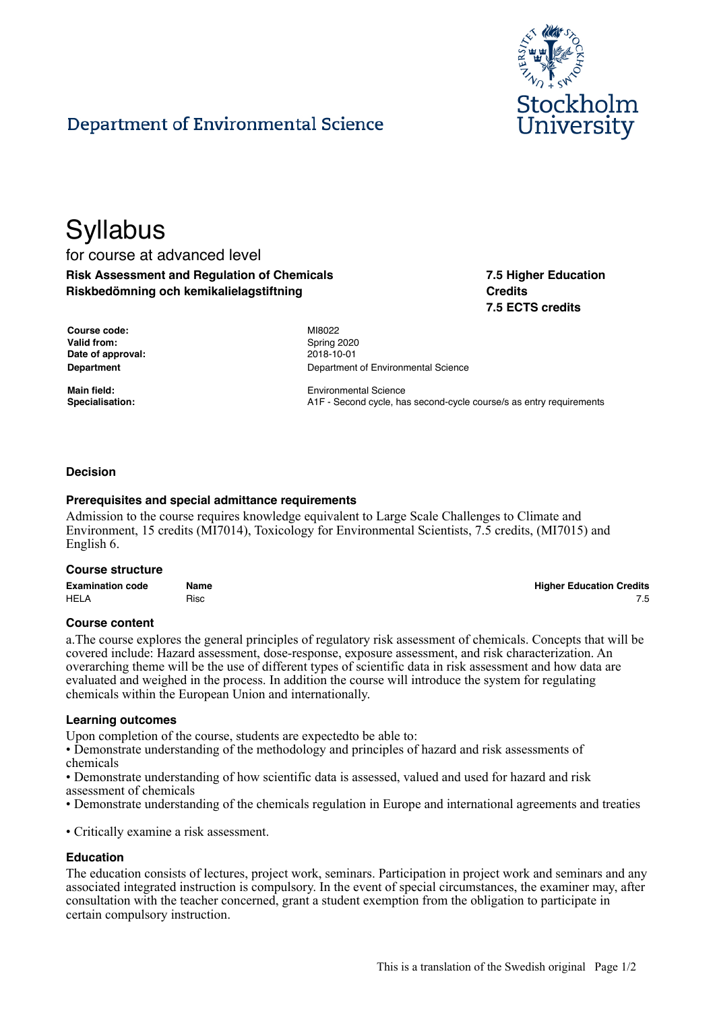

# Department of Environmental Science

# **Syllabus**

for course at advanced level **Risk Assessment and Regulation of Chemicals Riskbedömning och kemikalielagstiftning**

**7.5 Higher Education Credits 7.5 ECTS credits**

| Course code:      |
|-------------------|
| Valid from:       |
| Date of approval: |
| Department        |

**Course code:** MI8022 **Valid from:** Spring 2020 **Date of approval:** 2018-10-01 **Department of Environmental Science** 

**Main field: Main field:** Environmental Science **Specialisation:** A1F - Second cycle, has second-cycle course/s as entry requirements

### **Decision**

#### **Prerequisites and special admittance requirements**

Admission to the course requires knowledge equivalent to Large Scale Challenges to Climate and Environment, 15 credits (MI7014), Toxicology for Environmental Scientists, 7.5 credits, (MI7015) and English 6.

#### **Course structure**

| <b>Examination code</b> | Name | <b>Higher Education Credits</b> |
|-------------------------|------|---------------------------------|
| <b>HELA</b>             | Risc |                                 |

#### **Course content**

a.The course explores the general principles of regulatory risk assessment of chemicals. Concepts that will be covered include: Hazard assessment, dose-response, exposure assessment, and risk characterization. An overarching theme will be the use of different types of scientific data in risk assessment and how data are evaluated and weighed in the process. In addition the course will introduce the system for regulating chemicals within the European Union and internationally.

#### **Learning outcomes**

Upon completion of the course, students are expectedto be able to:

• Demonstrate understanding of the methodology and principles of hazard and risk assessments of chemicals

• Demonstrate understanding of how scientific data is assessed, valued and used for hazard and risk assessment of chemicals

• Demonstrate understanding of the chemicals regulation in Europe and international agreements and treaties

• Critically examine a risk assessment.

# **Education**

The education consists of lectures, project work, seminars. Participation in project work and seminars and any associated integrated instruction is compulsory. In the event of special circumstances, the examiner may, after consultation with the teacher concerned, grant a student exemption from the obligation to participate in certain compulsory instruction.